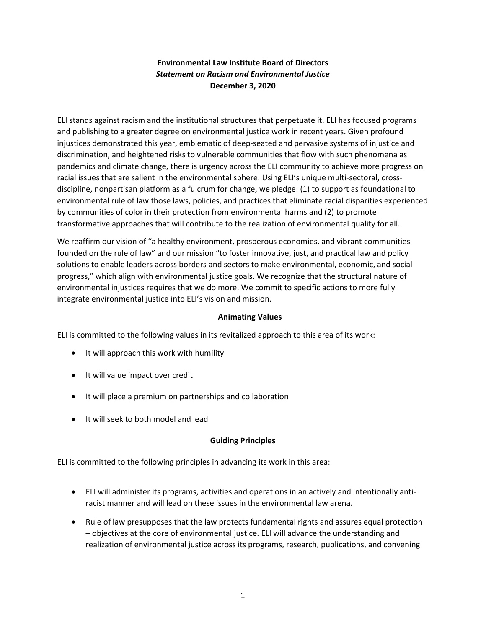## **Environmental Law Institute Board of Directors** *Statement on Racism and Environmental Justice* **December 3, 2020**

ELI stands against racism and the institutional structures that perpetuate it. ELI has focused programs and publishing to a greater degree on environmental justice work in recent years. Given profound injustices demonstrated this year, emblematic of deep-seated and pervasive systems of injustice and discrimination, and heightened risks to vulnerable communities that flow with such phenomena as pandemics and climate change, there is urgency across the ELI community to achieve more progress on racial issues that are salient in the environmental sphere. Using ELI's unique multi-sectoral, crossdiscipline, nonpartisan platform as a fulcrum for change, we pledge: (1) to support as foundational to environmental rule of law those laws, policies, and practices that eliminate racial disparities experienced by communities of color in their protection from environmental harms and (2) to promote transformative approaches that will contribute to the realization of environmental quality for all.

We reaffirm our vision of "a healthy environment, prosperous economies, and vibrant communities founded on the rule of law" and our mission "to foster innovative, just, and practical law and policy solutions to enable leaders across borders and sectors to make environmental, economic, and social progress," which align with environmental justice goals. We recognize that the structural nature of environmental injustices requires that we do more. We commit to specific actions to more fully integrate environmental justice into ELI's vision and mission.

### **Animating Values**

ELI is committed to the following values in its revitalized approach to this area of its work:

- It will approach this work with humility
- It will value impact over credit
- It will place a premium on partnerships and collaboration
- It will seek to both model and lead

## **Guiding Principles**

ELI is committed to the following principles in advancing its work in this area:

- ELI will administer its programs, activities and operations in an actively and intentionally antiracist manner and will lead on these issues in the environmental law arena.
- Rule of law presupposes that the law protects fundamental rights and assures equal protection – objectives at the core of environmental justice. ELI will advance the understanding and realization of environmental justice across its programs, research, publications, and convening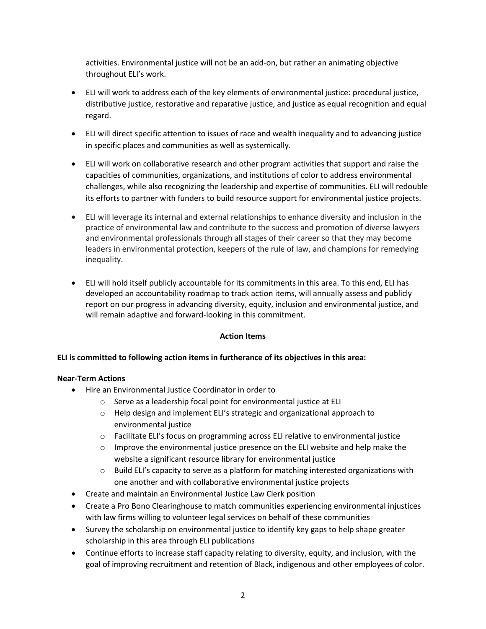activities. Environmental justice will not be an add-on, but rather an animating objective throughout ELI's work.

- ELI will work to address each of the key elements of environmental justice: procedural justice, distributive justice, restorative and reparative justice, and justice as equal recognition and equal regard.
- ELI will direct specific attention to issues of race and wealth inequality and to advancing justice in specific places and communities as well as systemically.
- ELI will work on collaborative research and other program activities that support and raise the capacities of communities, organizations, and institutions of color to address environmental challenges, while also recognizing the leadership and expertise of communities. ELI will redouble its efforts to partner with funders to build resource support for environmental justice projects.
- ELI will leverage its internal and external relationships to enhance diversity and inclusion in the practice of environmental law and contribute to the success and promotion of diverse lawyers and environmental professionals through all stages of their career so that they may become leaders in environmental protection, keepers of the rule of law, and champions for remedying inequality.
- ELI will hold itself publicly accountable for its commitments in this area. To this end, ELI has developed an accountability roadmap to track action items, will annually assess and publicly report on our progress in advancing diversity, equity, inclusion and environmental justice, and will remain adaptive and forward-looking in this commitment.

#### **Action Items**

## **ELI is committed to following action items in furtherance of its objectives in this area:**

#### **Near-Term Actions**

- Hire an Environmental Justice Coordinator in order to
	- o Serve as a leadership focal point for environmental justice at ELI
	- o Help design and implement ELI's strategic and organizational approach to environmental justice
	- o Facilitate ELI's focus on programming across ELI relative to environmental justice
	- $\circ$  Improve the environmental justice presence on the ELI website and help make the website a significant resource library for environmental justice
	- $\circ$  Build ELI's capacity to serve as a platform for matching interested organizations with one another and with collaborative environmental justice projects
- Create and maintain an Environmental Justice Law Clerk position
- Create a Pro Bono Clearinghouse to match communities experiencing environmental injustices with law firms willing to volunteer legal services on behalf of these communities
- Survey the scholarship on environmental justice to identify key gaps to help shape greater scholarship in this area through ELI publications
- Continue efforts to increase staff capacity relating to diversity, equity, and inclusion, with the goal of improving recruitment and retention of Black, indigenous and other employees of color.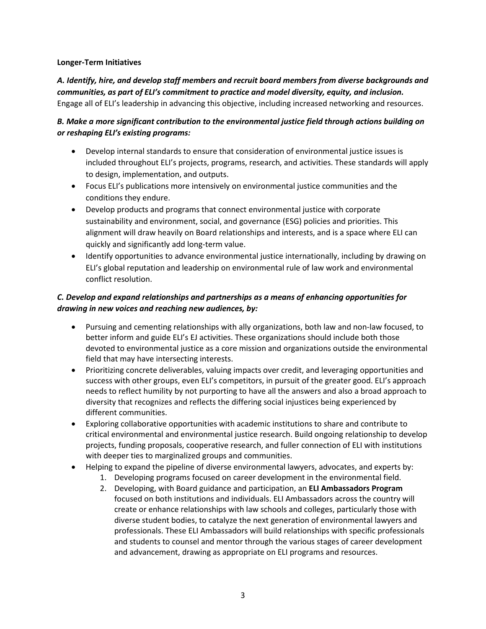#### **Longer-Term Initiatives**

*A. Identify, hire, and develop staff members and recruit board members from diverse backgrounds and communities, as part of ELI's commitment to practice and model diversity, equity, and inclusion.*  Engage all of ELI's leadership in advancing this objective, including increased networking and resources.

## *B. Make a more significant contribution to the environmental justice field through actions building on or reshaping ELI's existing programs:*

- Develop internal standards to ensure that consideration of environmental justice issues is included throughout ELI's projects, programs, research, and activities. These standards will apply to design, implementation, and outputs.
- Focus ELI's publications more intensively on environmental justice communities and the conditions they endure.
- Develop products and programs that connect environmental justice with corporate sustainability and environment, social, and governance (ESG) policies and priorities. This alignment will draw heavily on Board relationships and interests, and is a space where ELI can quickly and significantly add long-term value.
- Identify opportunities to advance environmental justice internationally, including by drawing on ELI's global reputation and leadership on environmental rule of law work and environmental conflict resolution.

# *C. Develop and expand relationships and partnerships as a means of enhancing opportunities for drawing in new voices and reaching new audiences, by:*

- Pursuing and cementing relationships with ally organizations, both law and non-law focused, to better inform and guide ELI's EJ activities. These organizations should include both those devoted to environmental justice as a core mission and organizations outside the environmental field that may have intersecting interests.
- Prioritizing concrete deliverables, valuing impacts over credit, and leveraging opportunities and success with other groups, even ELI's competitors, in pursuit of the greater good. ELI's approach needs to reflect humility by not purporting to have all the answers and also a broad approach to diversity that recognizes and reflects the differing social injustices being experienced by different communities.
- Exploring collaborative opportunities with academic institutions to share and contribute to critical environmental and environmental justice research. Build ongoing relationship to develop projects, funding proposals, cooperative research, and fuller connection of ELI with institutions with deeper ties to marginalized groups and communities.
- Helping to expand the pipeline of diverse environmental lawyers, advocates, and experts by:
	- 1. Developing programs focused on career development in the environmental field.
	- 2. Developing, with Board guidance and participation, an **ELI Ambassadors Program** focused on both institutions and individuals. ELI Ambassadors across the country will create or enhance relationships with law schools and colleges, particularly those with diverse student bodies, to catalyze the next generation of environmental lawyers and professionals. These ELI Ambassadors will build relationships with specific professionals and students to counsel and mentor through the various stages of career development and advancement, drawing as appropriate on ELI programs and resources.